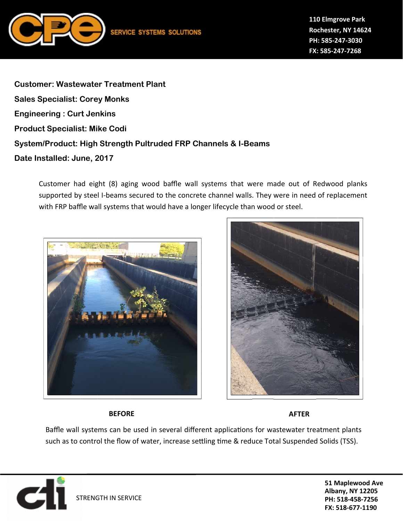

**110 Elmgrove Park Rochester, NY 14624 PH: 585-247-3030 FX: 585-247-7268**

**Customer: Wastewater Treatment Plant Sales Specialist: Corey Monks Engineering : Curt Jenkins Product Specialist: Mike Codi System/Product: High Strength Pultruded FRP Channels & I-Beams Date Installed: June, 2017**

Customer had eight (8) aging wood baffle wall systems that were made out of Redwood planks supported by steel I-beams secured to the concrete channel walls. They were in need of replacement with FRP baffle wall systems that would have a longer lifecycle than wood or steel.





## **BEFORE AFTER**

Baffle wall systems can be used in several different applications for wastewater treatment plants such as to control the flow of water, increase settling time & reduce Total Suspended Solids (TSS).



STRENGTH IN SERVICE

**51 Maplewood Ave Albany, NY 12205 PH: 518-458-7256 FX: 518-677-1190**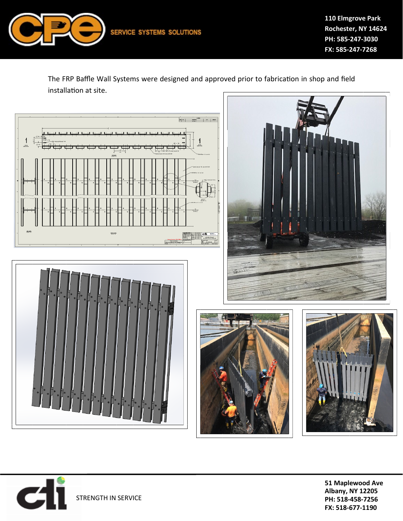

**110 Elmgrove Park Rochester, NY 14624 PH: 585-247-3030 FX: 585-247-7268**

The FRP Baffle Wall Systems were designed and approved prior to fabrication in shop and field installation at site.













**51 Maplewood Ave Albany, NY 12205 PH: 518-458-7256 FX: 518-677-1190** 

STRENGTH IN SERVICE